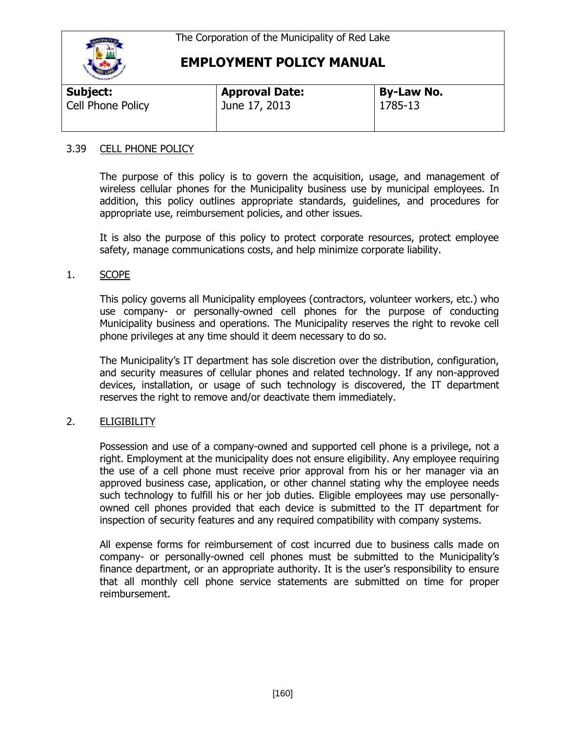

### **EMPLOYMENT POLICY MANUAL**

| Subject:                 | <b>Approval Date:</b> | <b>By-Law No.</b> |  |
|--------------------------|-----------------------|-------------------|--|
| <b>Cell Phone Policy</b> | June 17, 2013         | 1785-13           |  |

#### 3.39 CELL PHONE POLICY

The purpose of this policy is to govern the acquisition, usage, and management of wireless cellular phones for the Municipality business use by municipal employees. In addition, this policy outlines appropriate standards, guidelines, and procedures for appropriate use, reimbursement policies, and other issues.

It is also the purpose of this policy to protect corporate resources, protect employee safety, manage communications costs, and help minimize corporate liability.

#### 1. SCOPE

This policy governs all Municipality employees (contractors, volunteer workers, etc.) who use company- or personally-owned cell phones for the purpose of conducting Municipality business and operations. The Municipality reserves the right to revoke cell phone privileges at any time should it deem necessary to do so.

The Municipality's IT department has sole discretion over the distribution, configuration, and security measures of cellular phones and related technology. If any non-approved devices, installation, or usage of such technology is discovered, the IT department reserves the right to remove and/or deactivate them immediately.

#### 2. ELIGIBILITY

Possession and use of a company-owned and supported cell phone is a privilege, not a right. Employment at the municipality does not ensure eligibility. Any employee requiring the use of a cell phone must receive prior approval from his or her manager via an approved business case, application, or other channel stating why the employee needs such technology to fulfill his or her job duties. Eligible employees may use personallyowned cell phones provided that each device is submitted to the IT department for inspection of security features and any required compatibility with company systems.

All expense forms for reimbursement of cost incurred due to business calls made on company- or personally-owned cell phones must be submitted to the Municipality's finance department, or an appropriate authority. It is the user's responsibility to ensure that all monthly cell phone service statements are submitted on time for proper reimbursement.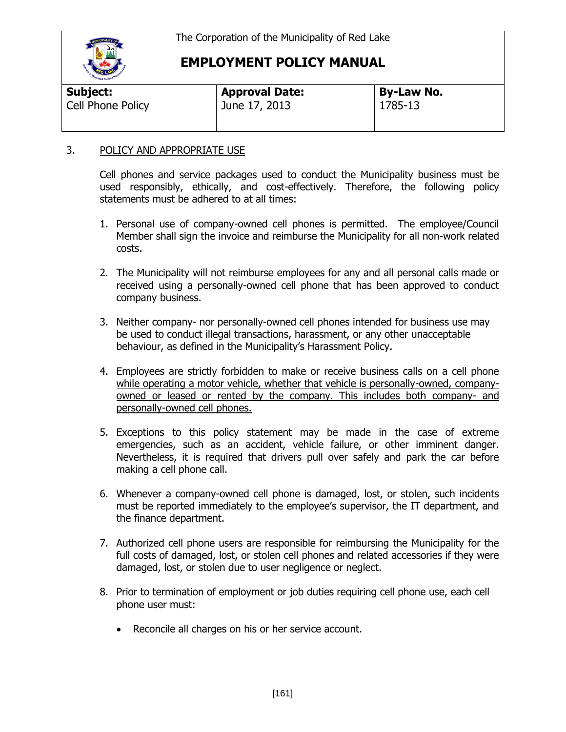

## **EMPLOYMENT POLICY MANUAL**

| Subject:          | <b>Approval Date:</b> | <b>By-Law No.</b> |  |  |
|-------------------|-----------------------|-------------------|--|--|
| Cell Phone Policy | June 17, 2013         | 1785-13           |  |  |
|                   |                       |                   |  |  |

### 3. POLICY AND APPROPRIATE USE

Cell phones and service packages used to conduct the Municipality business must be used responsibly, ethically, and cost-effectively. Therefore, the following policy statements must be adhered to at all times:

- 1. Personal use of company-owned cell phones is permitted. The employee/Council Member shall sign the invoice and reimburse the Municipality for all non-work related costs.
- 2. The Municipality will not reimburse employees for any and all personal calls made or received using a personally-owned cell phone that has been approved to conduct company business.
- 3. Neither company- nor personally-owned cell phones intended for business use may be used to conduct illegal transactions, harassment, or any other unacceptable behaviour, as defined in the Municipality's Harassment Policy.
- 4. Employees are strictly forbidden to make or receive business calls on a cell phone while operating a motor vehicle, whether that vehicle is personally-owned, companyowned or leased or rented by the company. This includes both company- and personally-owned cell phones.
- 5. Exceptions to this policy statement may be made in the case of extreme emergencies, such as an accident, vehicle failure, or other imminent danger. Nevertheless, it is required that drivers pull over safely and park the car before making a cell phone call.
- 6. Whenever a company-owned cell phone is damaged, lost, or stolen, such incidents must be reported immediately to the employee's supervisor, the IT department, and the finance department.
- 7. Authorized cell phone users are responsible for reimbursing the Municipality for the full costs of damaged, lost, or stolen cell phones and related accessories if they were damaged, lost, or stolen due to user negligence or neglect.
- 8. Prior to termination of employment or job duties requiring cell phone use, each cell phone user must:
	- Reconcile all charges on his or her service account.